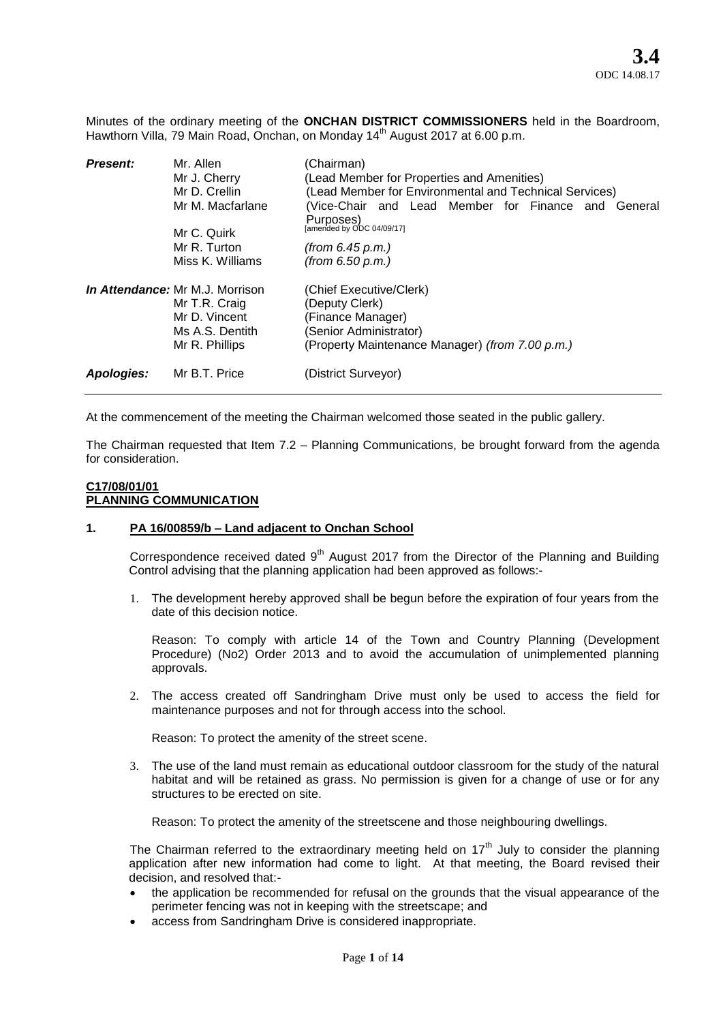Minutes of the ordinary meeting of the **ONCHAN DISTRICT COMMISSIONERS** held in the Boardroom, Hawthorn Villa, 79 Main Road, Onchan, on Monday 14<sup>th</sup> August 2017 at 6.00 p.m.

| <b>Present:</b>   | Mr. Allen                              | (Chairman)                                             |
|-------------------|----------------------------------------|--------------------------------------------------------|
|                   | Mr J. Cherry                           | (Lead Member for Properties and Amenities)             |
|                   | Mr D. Crellin                          | (Lead Member for Environmental and Technical Services) |
|                   | Mr M. Macfarlane                       | (Vice-Chair and Lead Member for Finance and<br>General |
|                   |                                        | Purposes)                                              |
|                   | Mr C. Quirk                            | [amended by ODC 04/09/17]                              |
|                   | Mr R. Turton                           | (from 6.45 p.m.)                                       |
|                   | Miss K. Williams                       | (from 6.50 p.m.)                                       |
|                   | <b>In Attendance:</b> Mr M.J. Morrison | (Chief Executive/Clerk)                                |
|                   | Mr T.R. Craig                          | (Deputy Clerk)                                         |
|                   | Mr D. Vincent                          | (Finance Manager)                                      |
|                   | Ms A.S. Dentith                        | (Senior Administrator)                                 |
|                   | Mr R. Phillips                         | (Property Maintenance Manager) (from 7.00 p.m.)        |
| <b>Apologies:</b> | Mr B.T. Price                          | (District Surveyor)                                    |
|                   |                                        |                                                        |

At the commencement of the meeting the Chairman welcomed those seated in the public gallery.

The Chairman requested that Item 7.2 – Planning Communications, be brought forward from the agenda for consideration.

### **C17/08/01/01 PLANNING COMMUNICATION**

### **1. PA 16/00859/b – Land adjacent to Onchan School**

Correspondence received dated  $9<sup>th</sup>$  August 2017 from the Director of the Planning and Building Control advising that the planning application had been approved as follows:-

1. The development hereby approved shall be begun before the expiration of four years from the date of this decision notice.

Reason: To comply with article 14 of the Town and Country Planning (Development Procedure) (No2) Order 2013 and to avoid the accumulation of unimplemented planning approvals.

2. The access created off Sandringham Drive must only be used to access the field for maintenance purposes and not for through access into the school.

Reason: To protect the amenity of the street scene.

3. The use of the land must remain as educational outdoor classroom for the study of the natural habitat and will be retained as grass. No permission is given for a change of use or for any structures to be erected on site.

Reason: To protect the amenity of the streetscene and those neighbouring dwellings.

The Chairman referred to the extraordinary meeting held on  $17<sup>th</sup>$  July to consider the planning application after new information had come to light. At that meeting, the Board revised their decision, and resolved that:-

- the application be recommended for refusal on the grounds that the visual appearance of the perimeter fencing was not in keeping with the streetscape; and
- access from Sandringham Drive is considered inappropriate.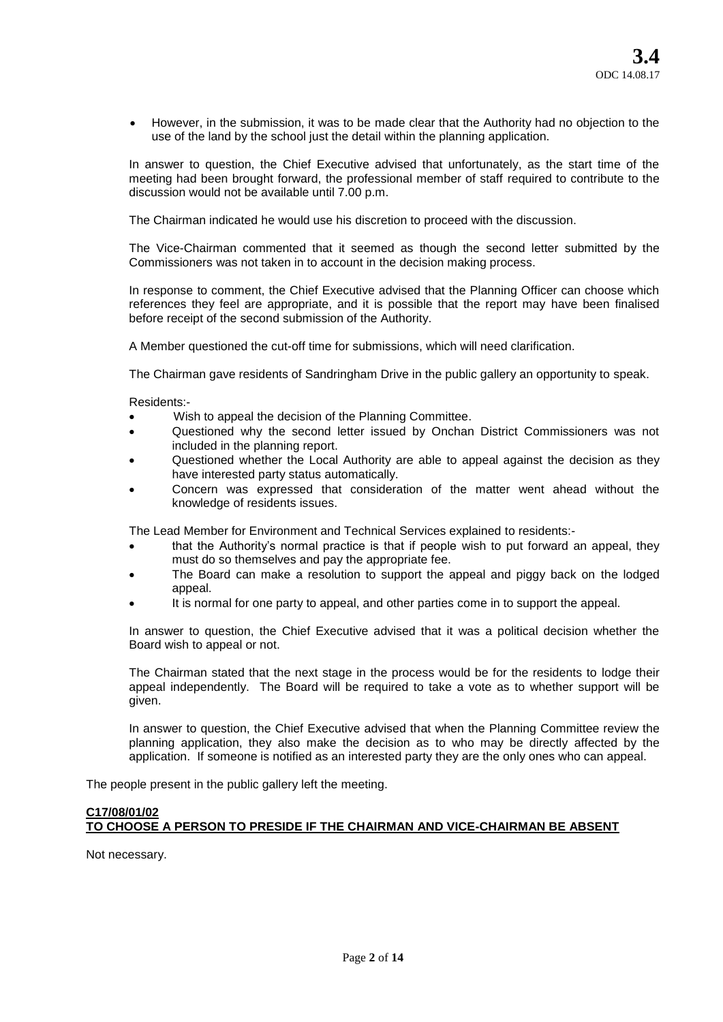However, in the submission, it was to be made clear that the Authority had no objection to the use of the land by the school just the detail within the planning application.

In answer to question, the Chief Executive advised that unfortunately, as the start time of the meeting had been brought forward, the professional member of staff required to contribute to the discussion would not be available until 7.00 p.m.

The Chairman indicated he would use his discretion to proceed with the discussion.

The Vice-Chairman commented that it seemed as though the second letter submitted by the Commissioners was not taken in to account in the decision making process.

In response to comment, the Chief Executive advised that the Planning Officer can choose which references they feel are appropriate, and it is possible that the report may have been finalised before receipt of the second submission of the Authority.

A Member questioned the cut-off time for submissions, which will need clarification.

The Chairman gave residents of Sandringham Drive in the public gallery an opportunity to speak.

Residents:-

- Wish to appeal the decision of the Planning Committee.
- Questioned why the second letter issued by Onchan District Commissioners was not included in the planning report.
- Questioned whether the Local Authority are able to appeal against the decision as they have interested party status automatically.
- Concern was expressed that consideration of the matter went ahead without the knowledge of residents issues.

The Lead Member for Environment and Technical Services explained to residents:-

- that the Authority's normal practice is that if people wish to put forward an appeal, they must do so themselves and pay the appropriate fee.
- The Board can make a resolution to support the appeal and piggy back on the lodged appeal.
- It is normal for one party to appeal, and other parties come in to support the appeal.

In answer to question, the Chief Executive advised that it was a political decision whether the Board wish to appeal or not.

The Chairman stated that the next stage in the process would be for the residents to lodge their appeal independently. The Board will be required to take a vote as to whether support will be given.

In answer to question, the Chief Executive advised that when the Planning Committee review the planning application, they also make the decision as to who may be directly affected by the application. If someone is notified as an interested party they are the only ones who can appeal.

The people present in the public gallery left the meeting.

# **C17/08/01/02 TO CHOOSE A PERSON TO PRESIDE IF THE CHAIRMAN AND VICE-CHAIRMAN BE ABSENT**

Not necessary.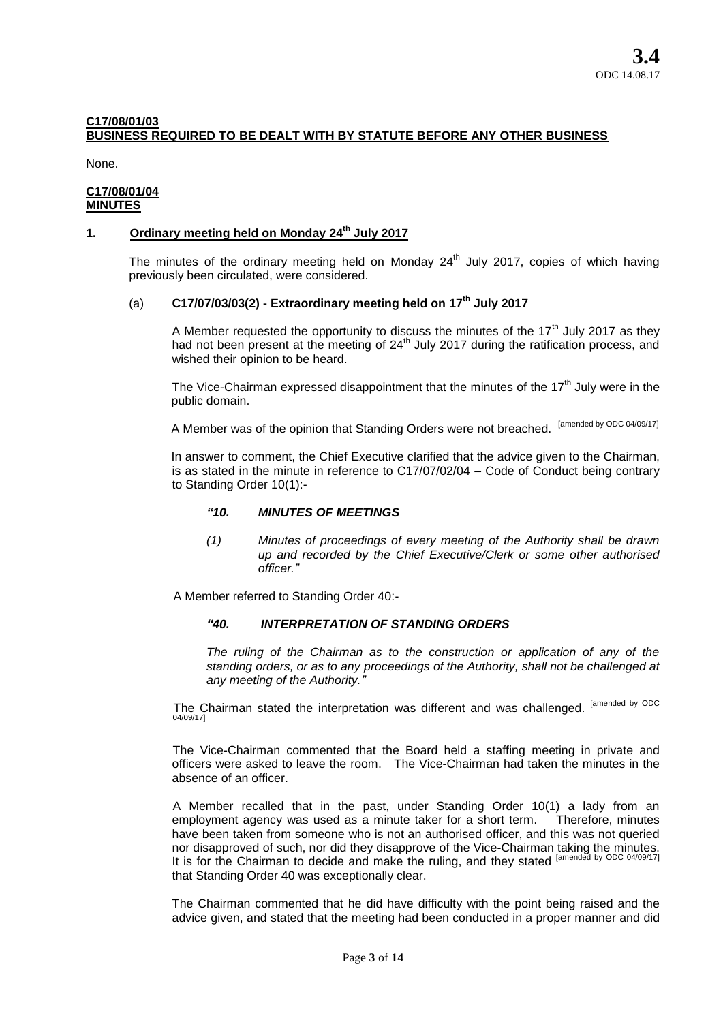# **C17/08/01/03 BUSINESS REQUIRED TO BE DEALT WITH BY STATUTE BEFORE ANY OTHER BUSINESS**

None.

## **C17/08/01/04 MINUTES**

# **1. Ordinary meeting held on Monday 24th July 2017**

The minutes of the ordinary meeting held on Monday  $24<sup>th</sup>$  July 2017, copies of which having previously been circulated, were considered.

# (a) **C17/07/03/03(2) - Extraordinary meeting held on 17th July 2017**

A Member requested the opportunity to discuss the minutes of the  $17<sup>th</sup>$  July 2017 as they had not been present at the meeting of  $24<sup>th</sup>$  July 2017 during the ratification process, and wished their opinion to be heard.

The Vice-Chairman expressed disappointment that the minutes of the  $17<sup>th</sup>$  July were in the public domain.

A Member was of the opinion that Standing Orders were not breached. [amended by ODC 04/09/17]

In answer to comment, the Chief Executive clarified that the advice given to the Chairman, is as stated in the minute in reference to C17/07/02/04 – Code of Conduct being contrary to Standing Order 10(1):-

## *"10. MINUTES OF MEETINGS*

*(1) Minutes of proceedings of every meeting of the Authority shall be drawn up and recorded by the Chief Executive/Clerk or some other authorised officer."*

A Member referred to Standing Order 40:-

## *"40. INTERPRETATION OF STANDING ORDERS*

*The ruling of the Chairman as to the construction or application of any of the standing orders, or as to any proceedings of the Authority, shall not be challenged at any meeting of the Authority."*

The Chairman stated the interpretation was different and was challenged. <sup>[amended by ODC</sup><br>04/09/17]

The Vice-Chairman commented that the Board held a staffing meeting in private and officers were asked to leave the room. The Vice-Chairman had taken the minutes in the absence of an officer.

A Member recalled that in the past, under Standing Order 10(1) a lady from an employment agency was used as a minute taker for a short term. Therefore, minutes have been taken from someone who is not an authorised officer, and this was not queried nor disapproved of such, nor did they disapprove of the Vice-Chairman taking the minutes. It is for the Chairman to decide and make the ruling, and they stated [amended by ODC 04/09/17] that Standing Order 40 was exceptionally clear.

The Chairman commented that he did have difficulty with the point being raised and the advice given, and stated that the meeting had been conducted in a proper manner and did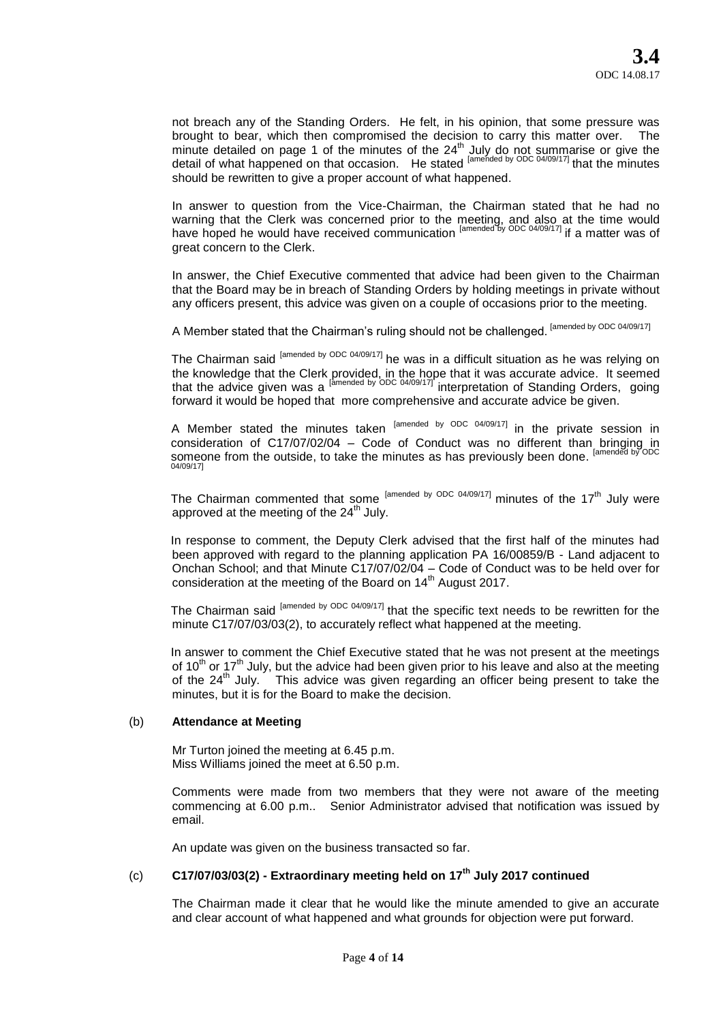not breach any of the Standing Orders. He felt, in his opinion, that some pressure was brought to bear, which then compromised the decision to carry this matter over. The minute detailed on page 1 of the minutes of the  $24<sup>th</sup>$  July do not summarise or give the detail of what happened on that occasion. He stated <sup>[amended by ODC 04/09/17]</sup> that the minutes should be rewritten to give a proper account of what happened.

In answer to question from the Vice-Chairman, the Chairman stated that he had no warning that the Clerk was concerned prior to the meeting, and also at the time would have hoped he would have received communication <sup>[amended by ODC 04/09/17]</sup> if a matter was of great concern to the Clerk.

In answer, the Chief Executive commented that advice had been given to the Chairman that the Board may be in breach of Standing Orders by holding meetings in private without any officers present, this advice was given on a couple of occasions prior to the meeting.

A Member stated that the Chairman's ruling should not be challenged. [amended by ODC 04/09/17]

The Chairman said <sup>[amended by ODC 04/09/17]</sup> he was in a difficult situation as he was relying on the knowledge that the Clerk provided, in the hope that it was accurate advice. It seemed that the advice given was a <sup>[amended by ODC 04/09/17]</sup> interpretation of Standing Orders, going forward it would be hoped that more comprehensive and accurate advice be given.

A Member stated the minutes taken <sup>[amended by ODC 04/09/17]</sup> in the private session in consideration of C17/07/02/04 – Code of Conduct was no different than bringing in someone from the outside, to take the minutes as has previously been done.<br>04/09/17|

The Chairman commented that some  $[amended by ODC 04/09/17]$  minutes of the 17<sup>th</sup> July were approved at the meeting of the 24<sup>th</sup> July.

In response to comment, the Deputy Clerk advised that the first half of the minutes had been approved with regard to the planning application PA 16/00859/B - Land adjacent to Onchan School; and that Minute C17/07/02/04 – Code of Conduct was to be held over for consideration at the meeting of the Board on 14<sup>th</sup> August 2017.

The Chairman said <sup>[amended by ODC 04/09/17]</sup> that the specific text needs to be rewritten for the minute C17/07/03/03(2), to accurately reflect what happened at the meeting.

In answer to comment the Chief Executive stated that he was not present at the meetings of 10<sup>th</sup> or 17<sup>th</sup> July, but the advice had been given prior to his leave and also at the meeting of the 24<sup>th</sup> July. This advice was given regarding an officer being present to take the minutes, but it is for the Board to make the decision.

### (b) **Attendance at Meeting**

Mr Turton joined the meeting at 6.45 p.m. Miss Williams joined the meet at 6.50 p.m.

Comments were made from two members that they were not aware of the meeting commencing at 6.00 p.m.. Senior Administrator advised that notification was issued by email.

An update was given on the business transacted so far.

# (c) **C17/07/03/03(2) - Extraordinary meeting held on 17th July 2017 continued**

The Chairman made it clear that he would like the minute amended to give an accurate and clear account of what happened and what grounds for objection were put forward.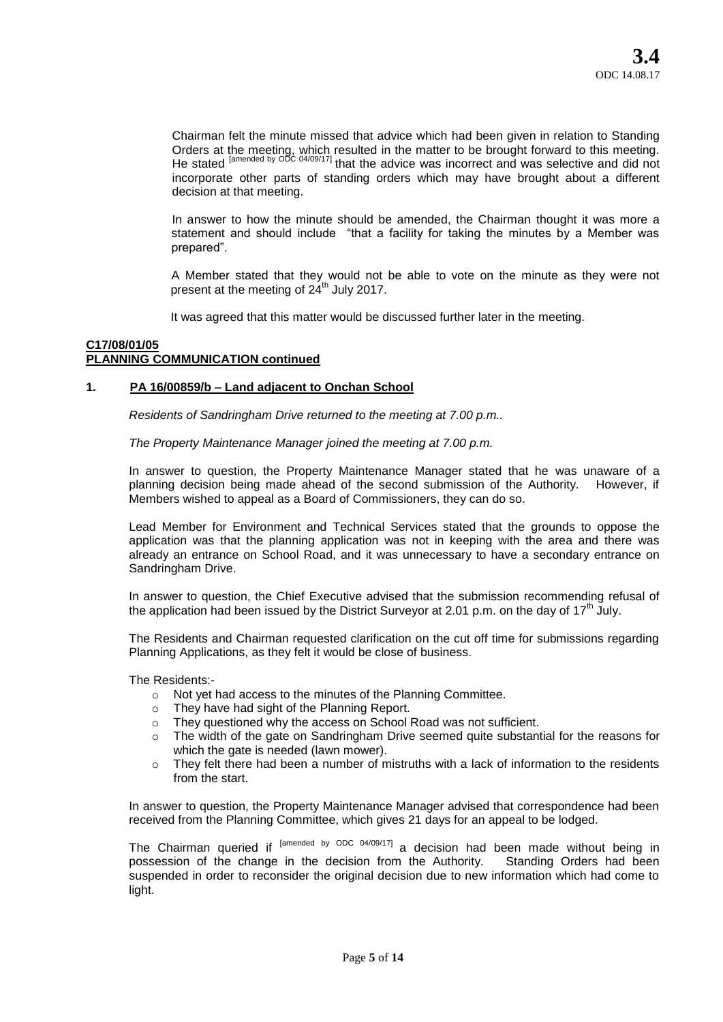Chairman felt the minute missed that advice which had been given in relation to Standing Orders at the meeting, which resulted in the matter to be brought forward to this meeting. He stated <sup>[amended by ODC 04/09/17]</sup> that the advice was incorrect and was selective and did not incorporate other parts of standing orders which may have brought about a different decision at that meeting.

In answer to how the minute should be amended, the Chairman thought it was more a statement and should include "that a facility for taking the minutes by a Member was prepared".

A Member stated that they would not be able to vote on the minute as they were not present at the meeting of  $24<sup>th</sup>$  July 2017.

It was agreed that this matter would be discussed further later in the meeting.

### **C17/08/01/05 PLANNING COMMUNICATION continued**

### **1. PA 16/00859/b – Land adjacent to Onchan School**

*Residents of Sandringham Drive returned to the meeting at 7.00 p.m..* 

*The Property Maintenance Manager joined the meeting at 7.00 p.m.*

In answer to question, the Property Maintenance Manager stated that he was unaware of a planning decision being made ahead of the second submission of the Authority. However, if Members wished to appeal as a Board of Commissioners, they can do so.

Lead Member for Environment and Technical Services stated that the grounds to oppose the application was that the planning application was not in keeping with the area and there was already an entrance on School Road, and it was unnecessary to have a secondary entrance on Sandringham Drive.

In answer to question, the Chief Executive advised that the submission recommending refusal of the application had been issued by the District Surveyor at 2.01 p.m. on the day of  $17<sup>th</sup>$  July.

The Residents and Chairman requested clarification on the cut off time for submissions regarding Planning Applications, as they felt it would be close of business.

The Residents:-

- o Not yet had access to the minutes of the Planning Committee.
- o They have had sight of the Planning Report.
- o They questioned why the access on School Road was not sufficient.
- o The width of the gate on Sandringham Drive seemed quite substantial for the reasons for which the gate is needed (lawn mower).
- $\circ$  They felt there had been a number of mistruths with a lack of information to the residents from the start.

In answer to question, the Property Maintenance Manager advised that correspondence had been received from the Planning Committee, which gives 21 days for an appeal to be lodged.

The Chairman queried if <sup>[amended by ODC 04/09/17]</sup> a decision had been made without being in possession of the change in the decision from the Authority. Standing Orders had been suspended in order to reconsider the original decision due to new information which had come to light.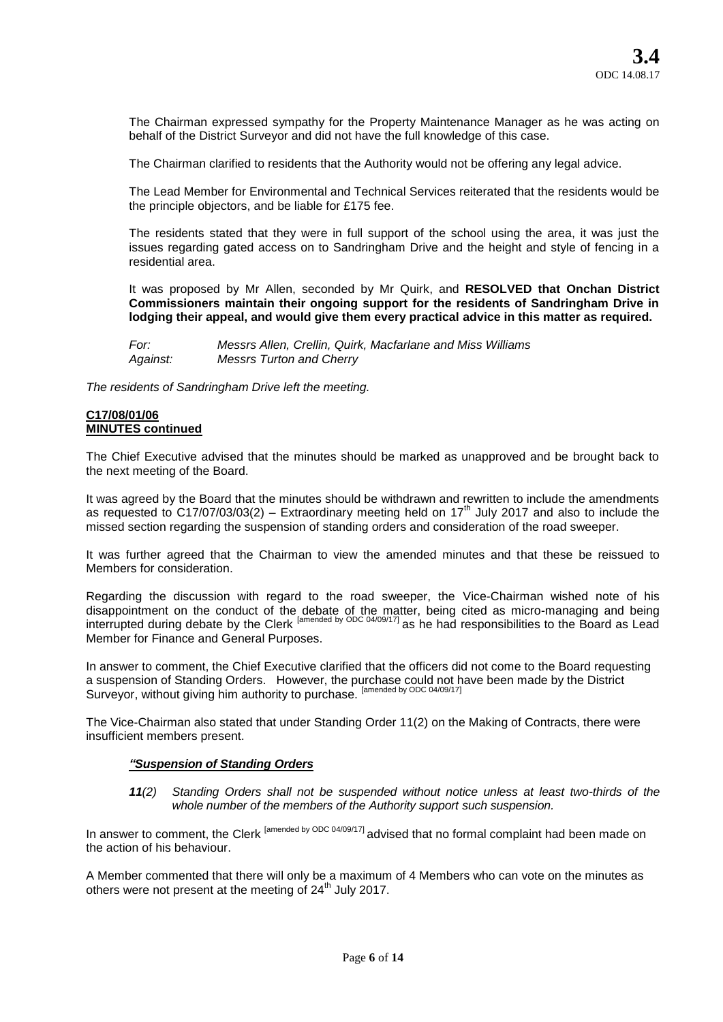The Chairman expressed sympathy for the Property Maintenance Manager as he was acting on behalf of the District Surveyor and did not have the full knowledge of this case.

The Chairman clarified to residents that the Authority would not be offering any legal advice.

The Lead Member for Environmental and Technical Services reiterated that the residents would be the principle objectors, and be liable for £175 fee.

The residents stated that they were in full support of the school using the area, it was just the issues regarding gated access on to Sandringham Drive and the height and style of fencing in a residential area.

It was proposed by Mr Allen, seconded by Mr Quirk, and **RESOLVED that Onchan District Commissioners maintain their ongoing support for the residents of Sandringham Drive in lodging their appeal, and would give them every practical advice in this matter as required.** 

*For: Messrs Allen, Crellin, Quirk, Macfarlane and Miss Williams Against: Messrs Turton and Cherry* 

*The residents of Sandringham Drive left the meeting.* 

#### **C17/08/01/06 MINUTES continued**

The Chief Executive advised that the minutes should be marked as unapproved and be brought back to the next meeting of the Board.

It was agreed by the Board that the minutes should be withdrawn and rewritten to include the amendments as requested to C17/07/03/03(2) – Extraordinary meeting held on 17<sup>th</sup> July 2017 and also to include the missed section regarding the suspension of standing orders and consideration of the road sweeper.

It was further agreed that the Chairman to view the amended minutes and that these be reissued to Members for consideration.

Regarding the discussion with regard to the road sweeper, the Vice-Chairman wished note of his disappointment on the conduct of the debate of the matter, being cited as micro-managing and being interrupted during debate by the Clerk <sup>[amended by ODC 04/09/17]</sup> as he had responsibilities to the Board as Lead Member for Finance and General Purposes.

In answer to comment, the Chief Executive clarified that the officers did not come to the Board requesting a suspension of Standing Orders. However, the purchase could not have been made by the District Surveyor, without giving him authority to purchase. <sup>[amended by ODC 04/09/17]</sup>

The Vice-Chairman also stated that under Standing Order 11(2) on the Making of Contracts, there were insufficient members present.

# *"Suspension of Standing Orders*

*11(2) Standing Orders shall not be suspended without notice unless at least two-thirds of the whole number of the members of the Authority support such suspension.*

In answer to comment, the Clerk <sup>[amended by ODC 04/09/17]</sup> advised that no formal complaint had been made on the action of his behaviour.

A Member commented that there will only be a maximum of 4 Members who can vote on the minutes as others were not present at the meeting of  $24<sup>th</sup>$  July 2017.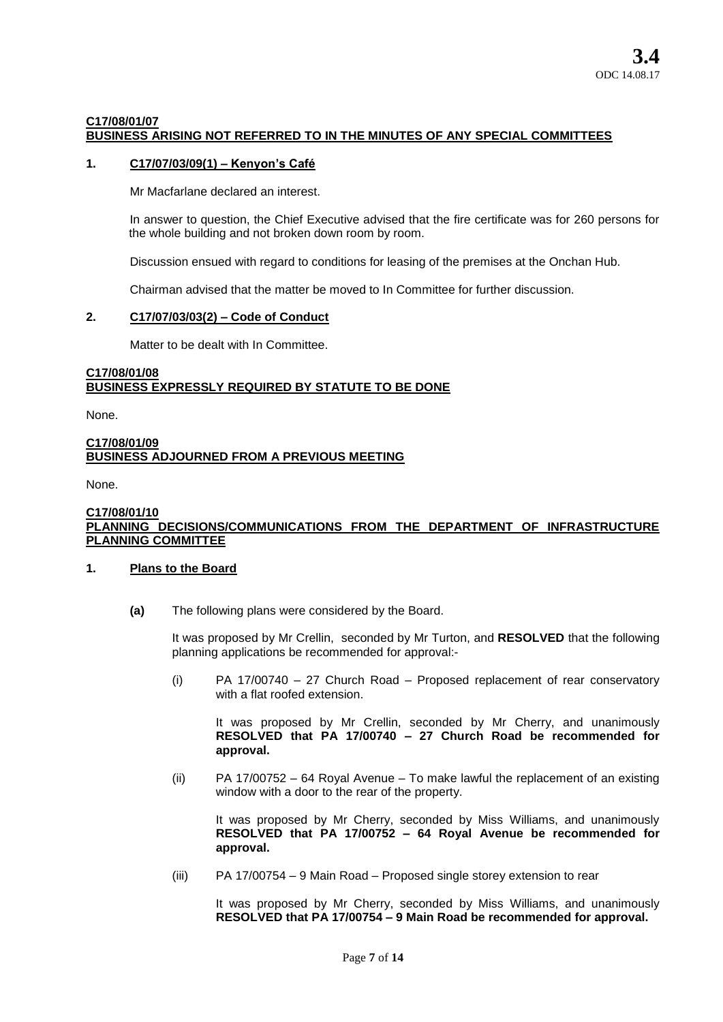## **C17/08/01/07 BUSINESS ARISING NOT REFERRED TO IN THE MINUTES OF ANY SPECIAL COMMITTEES**

## **1. C17/07/03/09(1) – Kenyon's Café**

Mr Macfarlane declared an interest.

In answer to question, the Chief Executive advised that the fire certificate was for 260 persons for the whole building and not broken down room by room.

Discussion ensued with regard to conditions for leasing of the premises at the Onchan Hub.

Chairman advised that the matter be moved to In Committee for further discussion.

## **2. C17/07/03/03(2) – Code of Conduct**

Matter to be dealt with In Committee.

## **C17/08/01/08 BUSINESS EXPRESSLY REQUIRED BY STATUTE TO BE DONE**

None.

## **C17/08/01/09 BUSINESS ADJOURNED FROM A PREVIOUS MEETING**

None.

### **C17/08/01/10 PLANNING DECISIONS/COMMUNICATIONS FROM THE DEPARTMENT OF INFRASTRUCTURE PLANNING COMMITTEE**

### **1. Plans to the Board**

**(a)** The following plans were considered by the Board.

It was proposed by Mr Crellin, seconded by Mr Turton, and **RESOLVED** that the following planning applications be recommended for approval:-

(i) PA 17/00740 – 27 Church Road – Proposed replacement of rear conservatory with a flat roofed extension.

It was proposed by Mr Crellin, seconded by Mr Cherry, and unanimously **RESOLVED that PA 17/00740 – 27 Church Road be recommended for approval.** 

(ii) PA 17/00752 – 64 Royal Avenue – To make lawful the replacement of an existing window with a door to the rear of the property.

It was proposed by Mr Cherry, seconded by Miss Williams, and unanimously **RESOLVED that PA 17/00752 – 64 Royal Avenue be recommended for approval.** 

(iii) PA 17/00754 – 9 Main Road – Proposed single storey extension to rear

It was proposed by Mr Cherry, seconded by Miss Williams, and unanimously **RESOLVED that PA 17/00754 – 9 Main Road be recommended for approval.**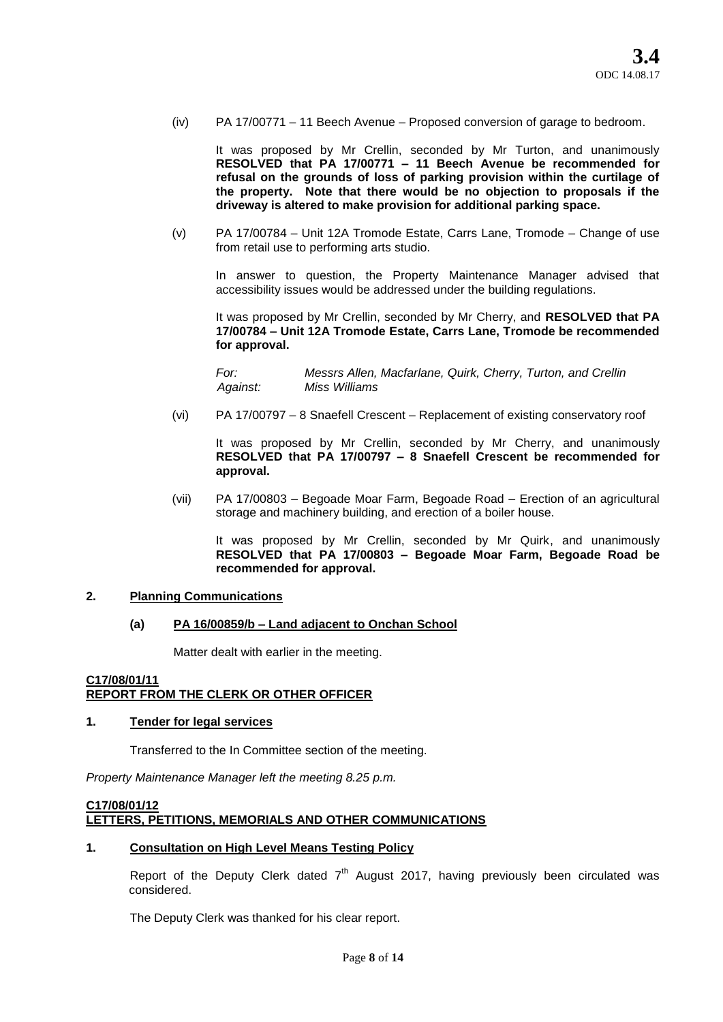(iv) PA 17/00771 – 11 Beech Avenue – Proposed conversion of garage to bedroom.

It was proposed by Mr Crellin, seconded by Mr Turton, and unanimously **RESOLVED that PA 17/00771 – 11 Beech Avenue be recommended for refusal on the grounds of loss of parking provision within the curtilage of the property. Note that there would be no objection to proposals if the driveway is altered to make provision for additional parking space.**

(v) PA 17/00784 – Unit 12A Tromode Estate, Carrs Lane, Tromode – Change of use from retail use to performing arts studio.

In answer to question, the Property Maintenance Manager advised that accessibility issues would be addressed under the building regulations.

It was proposed by Mr Crellin, seconded by Mr Cherry, and **RESOLVED that PA 17/00784 – Unit 12A Tromode Estate, Carrs Lane, Tromode be recommended for approval.** 

*For: Messrs Allen, Macfarlane, Quirk, Cherry, Turton, and Crellin Against: Miss Williams* 

(vi) PA 17/00797 – 8 Snaefell Crescent – Replacement of existing conservatory roof

It was proposed by Mr Crellin, seconded by Mr Cherry, and unanimously **RESOLVED that PA 17/00797 – 8 Snaefell Crescent be recommended for approval.** 

(vii) PA 17/00803 – Begoade Moar Farm, Begoade Road – Erection of an agricultural storage and machinery building, and erection of a boiler house.

It was proposed by Mr Crellin, seconded by Mr Quirk, and unanimously **RESOLVED that PA 17/00803 – Begoade Moar Farm, Begoade Road be recommended for approval.** 

## **2. Planning Communications**

### **(a) PA 16/00859/b – Land adjacent to Onchan School**

Matter dealt with earlier in the meeting.

## **C17/08/01/11 REPORT FROM THE CLERK OR OTHER OFFICER**

### **1. Tender for legal services**

Transferred to the In Committee section of the meeting.

*Property Maintenance Manager left the meeting 8.25 p.m.* 

## **C17/08/01/12 LETTERS, PETITIONS, MEMORIALS AND OTHER COMMUNICATIONS**

## **1. Consultation on High Level Means Testing Policy**

Report of the Deputy Clerk dated  $7<sup>th</sup>$  August 2017, having previously been circulated was considered.

The Deputy Clerk was thanked for his clear report.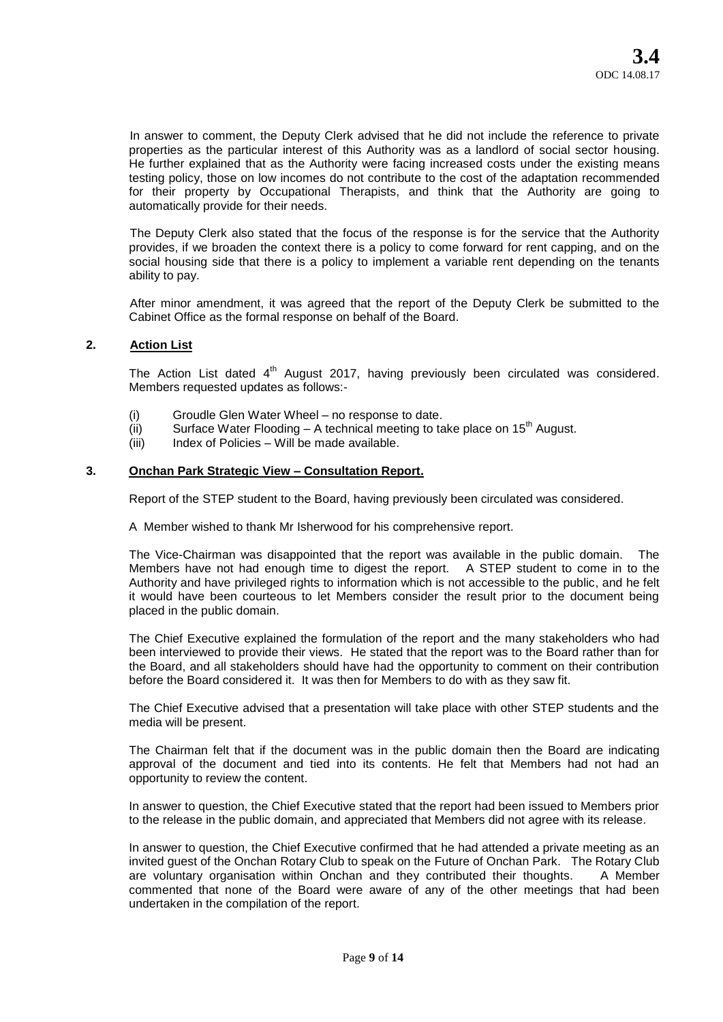In answer to comment, the Deputy Clerk advised that he did not include the reference to private properties as the particular interest of this Authority was as a landlord of social sector housing. He further explained that as the Authority were facing increased costs under the existing means testing policy, those on low incomes do not contribute to the cost of the adaptation recommended for their property by Occupational Therapists, and think that the Authority are going to automatically provide for their needs.

The Deputy Clerk also stated that the focus of the response is for the service that the Authority provides, if we broaden the context there is a policy to come forward for rent capping, and on the social housing side that there is a policy to implement a variable rent depending on the tenants ability to pay.

After minor amendment, it was agreed that the report of the Deputy Clerk be submitted to the Cabinet Office as the formal response on behalf of the Board.

## **2. Action List**

The Action List dated  $4<sup>th</sup>$  August 2017, having previously been circulated was considered. Members requested updates as follows:-

- (i) Groudle Glen Water Wheel no response to date.
- (ii) Surface Water Flooding A technical meeting to take place on  $15<sup>th</sup>$  August.
- $(iii)$  Index of Policies Will be made available.

## **3. Onchan Park Strategic View – Consultation Report.**

Report of the STEP student to the Board, having previously been circulated was considered.

A Member wished to thank Mr Isherwood for his comprehensive report.

The Vice-Chairman was disappointed that the report was available in the public domain. The Members have not had enough time to digest the report. A STEP student to come in to the Authority and have privileged rights to information which is not accessible to the public, and he felt it would have been courteous to let Members consider the result prior to the document being placed in the public domain.

The Chief Executive explained the formulation of the report and the many stakeholders who had been interviewed to provide their views. He stated that the report was to the Board rather than for the Board, and all stakeholders should have had the opportunity to comment on their contribution before the Board considered it. It was then for Members to do with as they saw fit.

The Chief Executive advised that a presentation will take place with other STEP students and the media will be present.

The Chairman felt that if the document was in the public domain then the Board are indicating approval of the document and tied into its contents. He felt that Members had not had an opportunity to review the content.

In answer to question, the Chief Executive stated that the report had been issued to Members prior to the release in the public domain, and appreciated that Members did not agree with its release.

In answer to question, the Chief Executive confirmed that he had attended a private meeting as an invited guest of the Onchan Rotary Club to speak on the Future of Onchan Park. The Rotary Club are voluntary organisation within Onchan and they contributed their thoughts. A Member commented that none of the Board were aware of any of the other meetings that had been undertaken in the compilation of the report.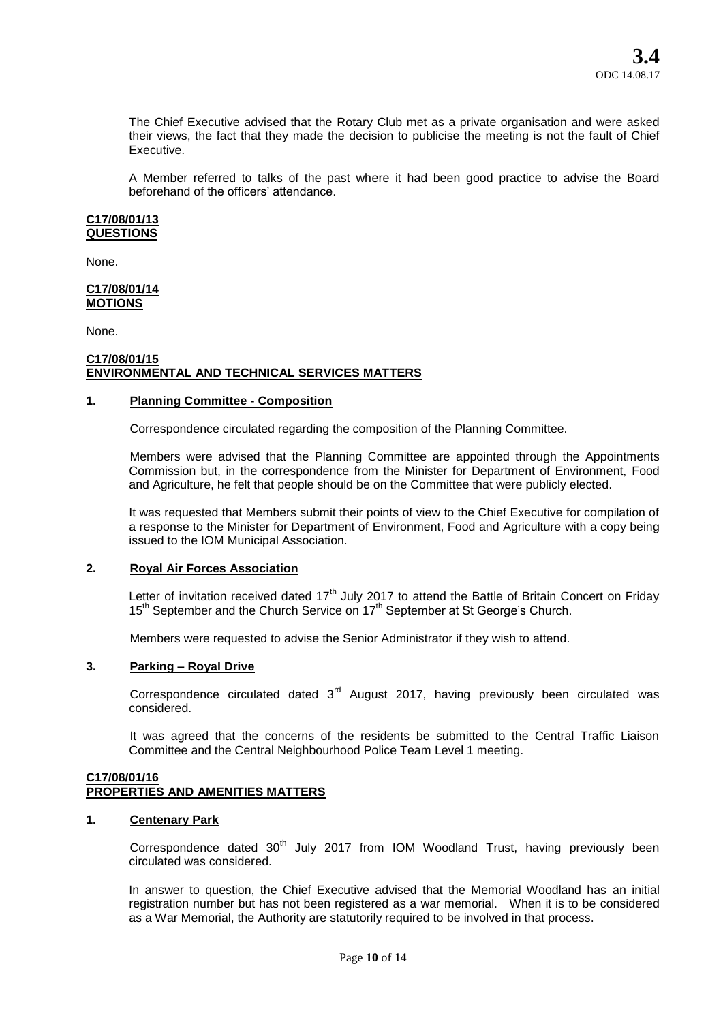The Chief Executive advised that the Rotary Club met as a private organisation and were asked their views, the fact that they made the decision to publicise the meeting is not the fault of Chief Executive.

A Member referred to talks of the past where it had been good practice to advise the Board beforehand of the officers' attendance.

#### **C17/08/01/13 QUESTIONS**

None.

#### **C17/08/01/14 MOTIONS**

None.

## **C17/08/01/15 ENVIRONMENTAL AND TECHNICAL SERVICES MATTERS**

## **1. Planning Committee - Composition**

Correspondence circulated regarding the composition of the Planning Committee.

Members were advised that the Planning Committee are appointed through the Appointments Commission but, in the correspondence from the Minister for Department of Environment, Food and Agriculture, he felt that people should be on the Committee that were publicly elected.

It was requested that Members submit their points of view to the Chief Executive for compilation of a response to the Minister for Department of Environment, Food and Agriculture with a copy being issued to the IOM Municipal Association.

## **2. Royal Air Forces Association**

Letter of invitation received dated 17<sup>th</sup> July 2017 to attend the Battle of Britain Concert on Friday  $15<sup>th</sup>$  September and the Church Service on  $17<sup>th</sup>$  September at St George's Church.

Members were requested to advise the Senior Administrator if they wish to attend.

## **3. Parking – Royal Drive**

Correspondence circulated dated  $3<sup>rd</sup>$  August 2017, having previously been circulated was considered.

It was agreed that the concerns of the residents be submitted to the Central Traffic Liaison Committee and the Central Neighbourhood Police Team Level 1 meeting.

#### **C17/08/01/16 PROPERTIES AND AMENITIES MATTERS**

### **1. Centenary Park**

Correspondence dated  $30<sup>th</sup>$  July 2017 from IOM Woodland Trust, having previously been circulated was considered.

In answer to question, the Chief Executive advised that the Memorial Woodland has an initial registration number but has not been registered as a war memorial. When it is to be considered as a War Memorial, the Authority are statutorily required to be involved in that process.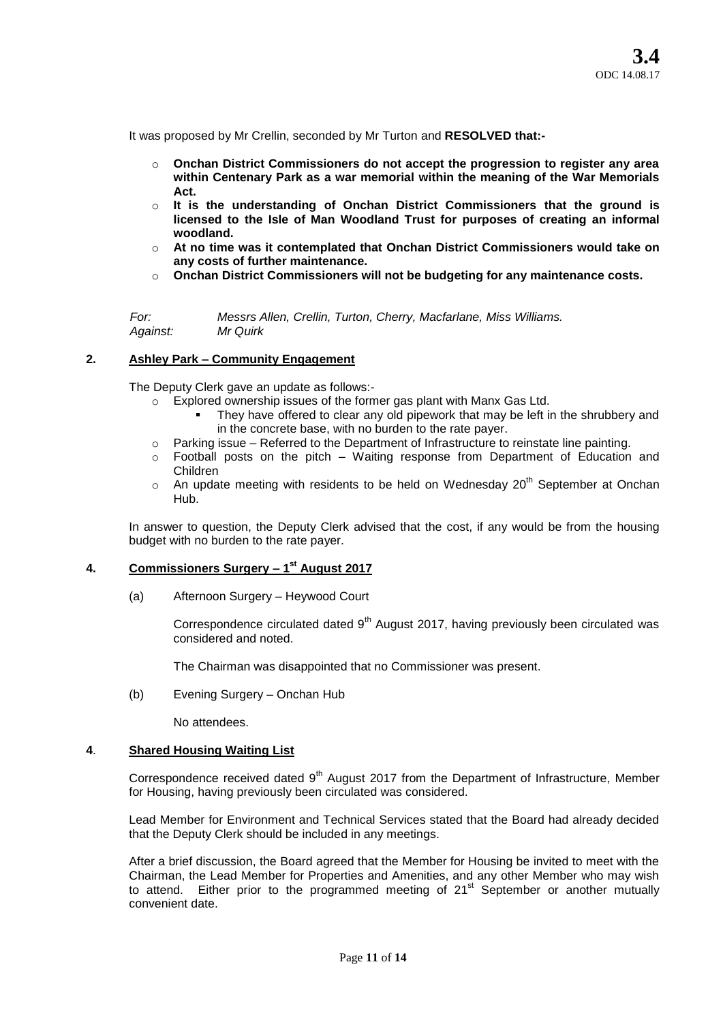It was proposed by Mr Crellin, seconded by Mr Turton and **RESOLVED that:-**

- o **Onchan District Commissioners do not accept the progression to register any area within Centenary Park as a war memorial within the meaning of the War Memorials Act.**
- o **It is the understanding of Onchan District Commissioners that the ground is licensed to the Isle of Man Woodland Trust for purposes of creating an informal woodland.**
- o **At no time was it contemplated that Onchan District Commissioners would take on any costs of further maintenance.**
- o **Onchan District Commissioners will not be budgeting for any maintenance costs.**

*For: Messrs Allen, Crellin, Turton, Cherry, Macfarlane, Miss Williams. Against: Mr Quirk* 

### **2. Ashley Park – Community Engagement**

The Deputy Clerk gave an update as follows:-

- o Explored ownership issues of the former gas plant with Manx Gas Ltd.
	- They have offered to clear any old pipework that may be left in the shrubbery and in the concrete base, with no burden to the rate payer.
- $\circ$  Parking issue Referred to the Department of Infrastructure to reinstate line painting.
- $\circ$  Football posts on the pitch Waiting response from Department of Education and Children
- $\circ$  An update meeting with residents to be held on Wednesday 20<sup>th</sup> September at Onchan Hub.

In answer to question, the Deputy Clerk advised that the cost, if any would be from the housing budget with no burden to the rate payer.

# **4. Commissioners Surgery – 1 st August 2017**

(a) Afternoon Surgery – Heywood Court

Correspondence circulated dated  $9<sup>th</sup>$  August 2017, having previously been circulated was considered and noted.

The Chairman was disappointed that no Commissioner was present.

(b) Evening Surgery – Onchan Hub

No attendees.

## **4**. **Shared Housing Waiting List**

Correspondence received dated  $9<sup>th</sup>$  August 2017 from the Department of Infrastructure, Member for Housing, having previously been circulated was considered.

Lead Member for Environment and Technical Services stated that the Board had already decided that the Deputy Clerk should be included in any meetings.

After a brief discussion, the Board agreed that the Member for Housing be invited to meet with the Chairman, the Lead Member for Properties and Amenities, and any other Member who may wish to attend. Either prior to the programmed meeting of  $21<sup>st</sup>$  September or another mutually convenient date.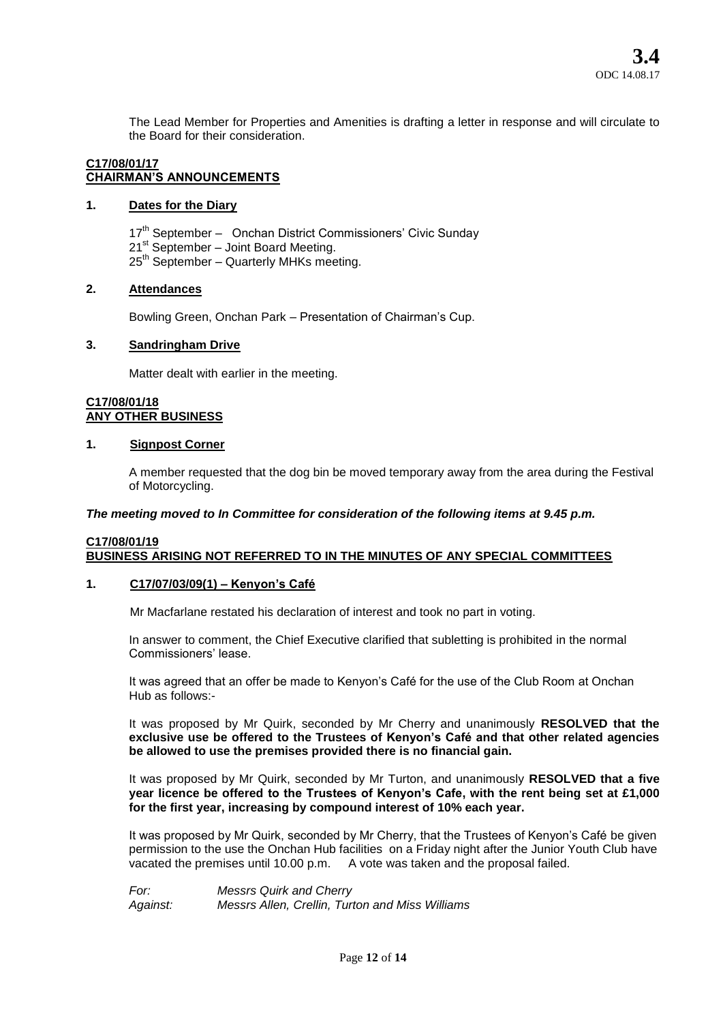The Lead Member for Properties and Amenities is drafting a letter in response and will circulate to the Board for their consideration.

#### **C17/08/01/17 CHAIRMAN'S ANNOUNCEMENTS**

## **1. Dates for the Diary**

17<sup>th</sup> September – Onchan District Commissioners' Civic Sunday  $21<sup>st</sup>$  September – Joint Board Meeting. 25<sup>th</sup> September – Quarterly MHKs meeting.

### **2. Attendances**

Bowling Green, Onchan Park – Presentation of Chairman's Cup.

## **3. Sandringham Drive**

Matter dealt with earlier in the meeting.

### **C17/08/01/18 ANY OTHER BUSINESS**

## **1. Signpost Corner**

A member requested that the dog bin be moved temporary away from the area during the Festival of Motorcycling.

### *The meeting moved to In Committee for consideration of the following items at 9.45 p.m.*

### **C17/08/01/19 BUSINESS ARISING NOT REFERRED TO IN THE MINUTES OF ANY SPECIAL COMMITTEES**

### **1. C17/07/03/09(1) – Kenyon's Café**

Mr Macfarlane restated his declaration of interest and took no part in voting.

In answer to comment, the Chief Executive clarified that subletting is prohibited in the normal Commissioners' lease.

It was agreed that an offer be made to Kenyon's Café for the use of the Club Room at Onchan Hub as follows:-

It was proposed by Mr Quirk, seconded by Mr Cherry and unanimously **RESOLVED that the exclusive use be offered to the Trustees of Kenyon's Café and that other related agencies be allowed to use the premises provided there is no financial gain.** 

It was proposed by Mr Quirk, seconded by Mr Turton, and unanimously **RESOLVED that a five year licence be offered to the Trustees of Kenyon's Cafe, with the rent being set at £1,000 for the first year, increasing by compound interest of 10% each year.** 

It was proposed by Mr Quirk, seconded by Mr Cherry, that the Trustees of Kenyon's Café be given permission to the use the Onchan Hub facilities on a Friday night after the Junior Youth Club have vacated the premises until 10.00 p.m. A vote was taken and the proposal failed.

*For: Messrs Quirk and Cherry Against: Messrs Allen, Crellin, Turton and Miss Williams*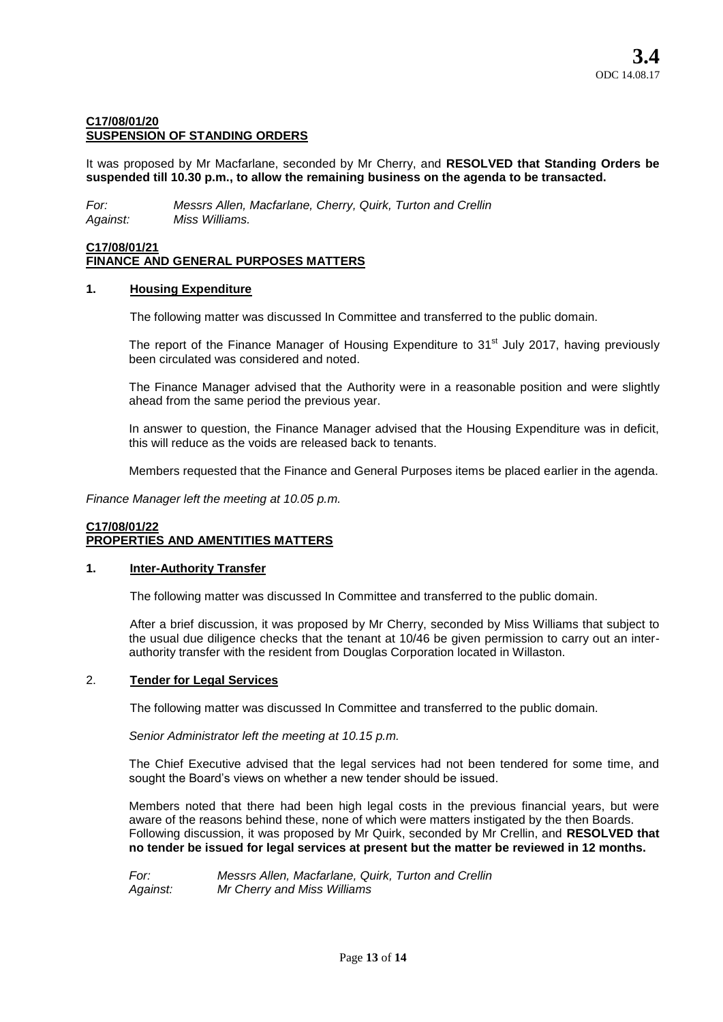## **C17/08/01/20 SUSPENSION OF STANDING ORDERS**

It was proposed by Mr Macfarlane, seconded by Mr Cherry, and **RESOLVED that Standing Orders be suspended till 10.30 p.m., to allow the remaining business on the agenda to be transacted.** 

*For: Messrs Allen, Macfarlane, Cherry, Quirk, Turton and Crellin Against: Miss Williams.* 

## **C17/08/01/21 FINANCE AND GENERAL PURPOSES MATTERS**

## **1. Housing Expenditure**

The following matter was discussed In Committee and transferred to the public domain.

The report of the Finance Manager of Housing Expenditure to 31<sup>st</sup> July 2017, having previously been circulated was considered and noted.

The Finance Manager advised that the Authority were in a reasonable position and were slightly ahead from the same period the previous year.

In answer to question, the Finance Manager advised that the Housing Expenditure was in deficit, this will reduce as the voids are released back to tenants.

Members requested that the Finance and General Purposes items be placed earlier in the agenda.

*Finance Manager left the meeting at 10.05 p.m.* 

## **C17/08/01/22 PROPERTIES AND AMENTITIES MATTERS**

### **1. Inter-Authority Transfer**

The following matter was discussed In Committee and transferred to the public domain.

After a brief discussion, it was proposed by Mr Cherry, seconded by Miss Williams that subject to the usual due diligence checks that the tenant at 10/46 be given permission to carry out an interauthority transfer with the resident from Douglas Corporation located in Willaston.

### 2. **Tender for Legal Services**

The following matter was discussed In Committee and transferred to the public domain.

*Senior Administrator left the meeting at 10.15 p.m.* 

The Chief Executive advised that the legal services had not been tendered for some time, and sought the Board's views on whether a new tender should be issued.

Members noted that there had been high legal costs in the previous financial years, but were aware of the reasons behind these, none of which were matters instigated by the then Boards. Following discussion, it was proposed by Mr Quirk, seconded by Mr Crellin, and **RESOLVED that no tender be issued for legal services at present but the matter be reviewed in 12 months.** 

*For: Messrs Allen, Macfarlane, Quirk, Turton and Crellin Against: Mr Cherry and Miss Williams*